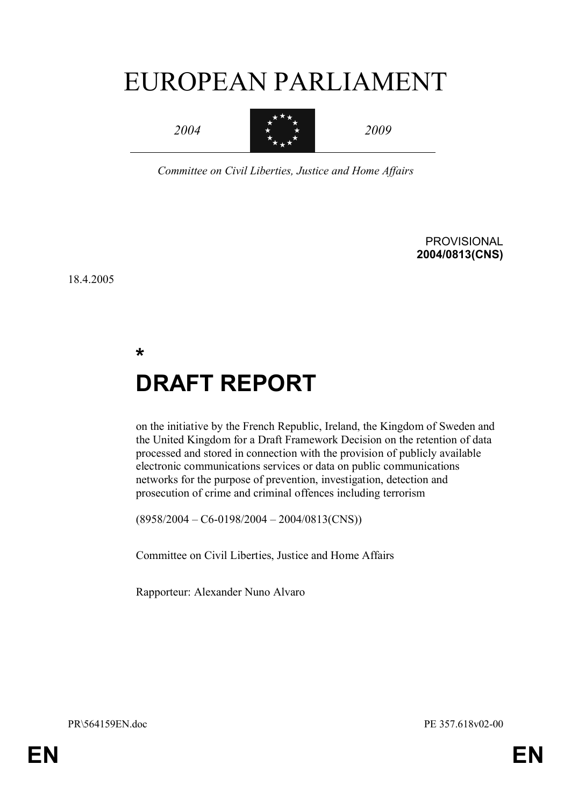# EUROPEAN PARLIAMENT

*2004*



*2009*

*Committee on Civil Liberties, Justice and Home Affairs*

PROVISIONAL **2004/0813(CNS)**

18.4.2005

**\***

## **DRAFT REPORT**

on the initiative by the French Republic, Ireland, the Kingdom of Sweden and the United Kingdom for a Draft Framework Decision on the retention of data processed and stored in connection with the provision of publicly available electronic communications services or data on public communications networks for the purpose of prevention, investigation, detection and prosecution of crime and criminal offences including terrorism

 $(8958/2004 - C6 - 0198/2004 - 2004/0813(CNS))$ 

Committee on Civil Liberties, Justice and Home Affairs

Rapporteur: Alexander Nuno Alvaro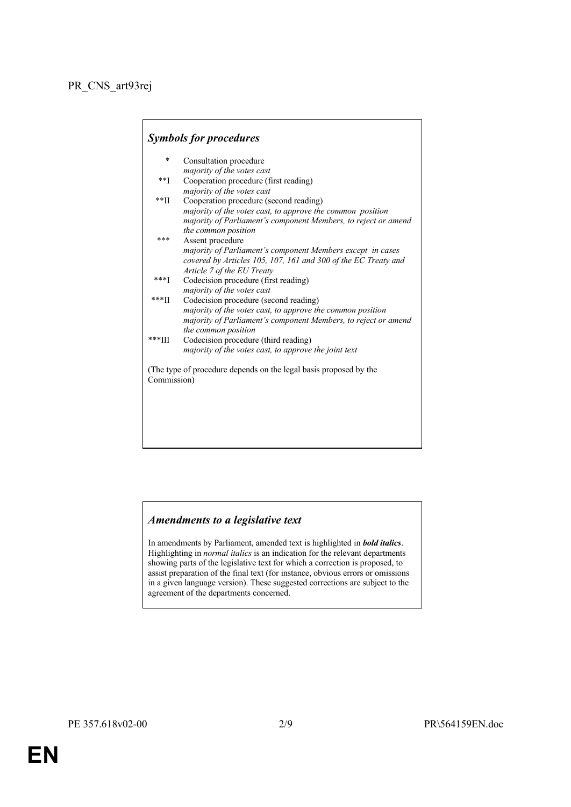| <b>Symbols for procedures</b> |                                                                   |  |
|-------------------------------|-------------------------------------------------------------------|--|
| $\ast$                        | Consultation procedure                                            |  |
|                               | majority of the votes cast                                        |  |
| **⊺                           | Cooperation procedure (first reading)                             |  |
|                               | majority of the votes cast                                        |  |
| ∗∗∏                           | Cooperation procedure (second reading)                            |  |
|                               | majority of the votes cast, to approve the common position        |  |
|                               | majority of Parliament's component Members, to reject or amend    |  |
|                               | the common position                                               |  |
| ***                           | Assent procedure                                                  |  |
|                               | majority of Parliament's component Members except in cases        |  |
|                               | covered by Articles 105, 107, 161 and 300 of the EC Treaty and    |  |
|                               | Article 7 of the EU Treaty                                        |  |
| ***]                          | Codecision procedure (first reading)                              |  |
|                               | majority of the votes cast                                        |  |
| $***$ <sup>11</sup>           | Codecision procedure (second reading)                             |  |
|                               | majority of the votes cast, to approve the common position        |  |
|                               | majority of Parliament's component Members, to reject or amend    |  |
|                               | the common position                                               |  |
| ***∐∐                         | Codecision procedure (third reading)                              |  |
|                               | majority of the votes cast, to approve the joint text             |  |
|                               | (The type of procedure depends on the legal basis proposed by the |  |
| Commission)                   |                                                                   |  |
|                               |                                                                   |  |
|                               |                                                                   |  |
|                               |                                                                   |  |
|                               |                                                                   |  |
|                               |                                                                   |  |

## *Amendments to a legislative text*

In amendments by Parliament, amended text is highlighted in *bold italics*. Highlighting in *normal italics* is an indication for the relevant departments showing parts of the legislative text for which a correction is proposed, to assist preparation of the final text (for instance, obvious errors or omissions in a given language version). These suggested corrections are subject to the agreement of the departments concerned.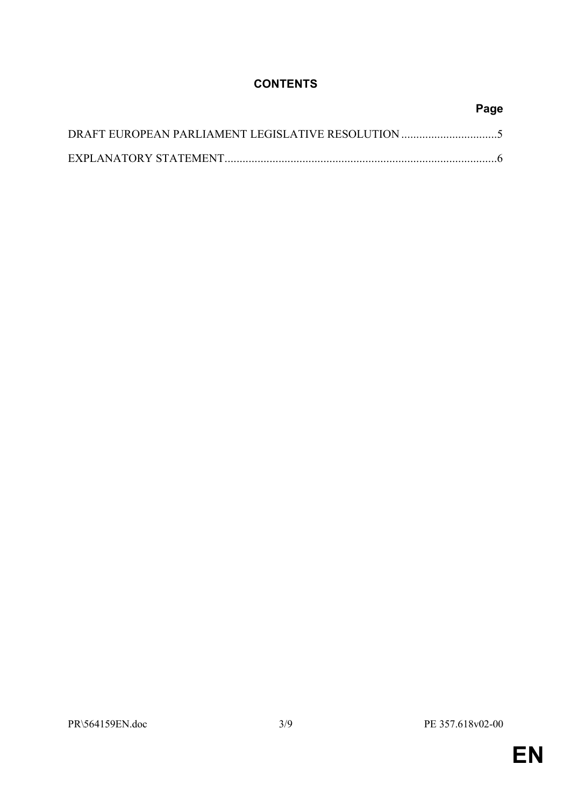## **CONTENTS**

| Page |
|------|
|      |
|      |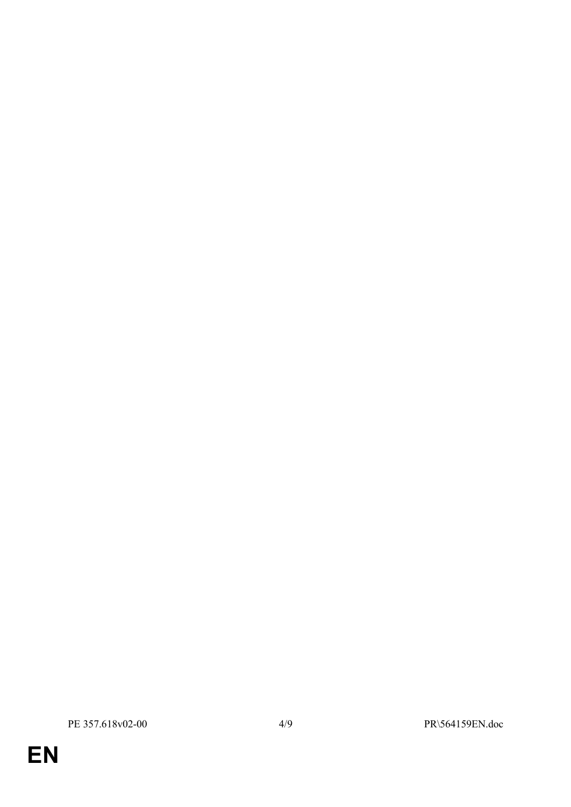PE 357.618v02-00 4/9 PR\564159EN.doc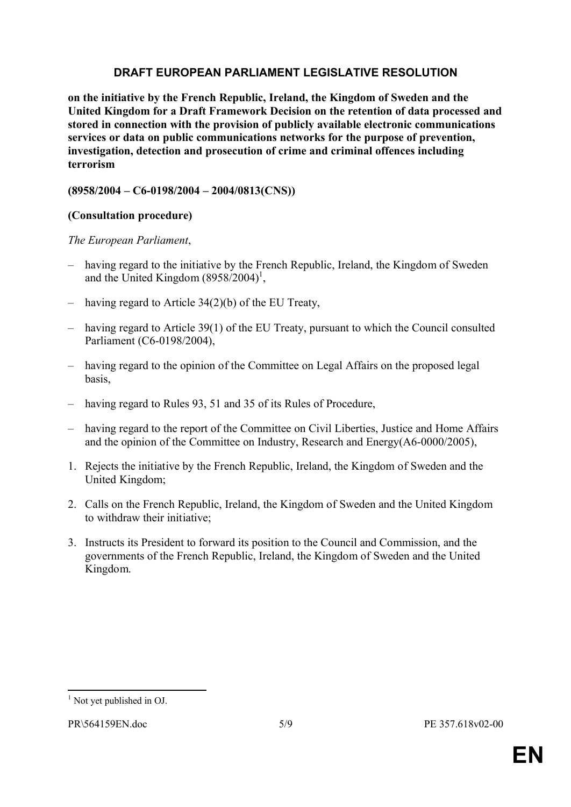## **DRAFT EUROPEAN PARLIAMENT LEGISLATIVE RESOLUTION**

**on the initiative by the French Republic, Ireland, the Kingdom of Sweden and the United Kingdom for a Draft Framework Decision on the retention of data processed and stored in connection with the provision of publicly available electronic communications services or data on public communications networks for the purpose of prevention, investigation, detection and prosecution of crime and criminal offences including terrorism** 

## **(8958/2004 – C6-0198/2004 – 2004/0813(CNS))**

## **(Consultation procedure)**

### *The European Parliament*,

- having regard to the initiative by the French Republic, Ireland, the Kingdom of Sweden and the United Kingdom  $(8958/2004)^1$ ,
- having regard to Article 34(2)(b) of the EU Treaty,
- having regard to Article 39(1) of the EU Treaty, pursuant to which the Council consulted Parliament (C6-0198/2004),
- having regard to the opinion of the Committee on Legal Affairs on the proposed legal basis,
- having regard to Rules 93, 51 and 35 of its Rules of Procedure,
- having regard to the report of the Committee on Civil Liberties, Justice and Home Affairs and the opinion of the Committee on Industry, Research and Energy(A6-0000/2005),
- 1. Rejects the initiative by the French Republic, Ireland, the Kingdom of Sweden and the United Kingdom;
- 2. Calls on the French Republic, Ireland, the Kingdom of Sweden and the United Kingdom to withdraw their initiative;
- 3. Instructs its President to forward its position to the Council and Commission, and the governments of the French Republic, Ireland, the Kingdom of Sweden and the United Kingdom.

 $<sup>1</sup>$  Not yet published in OJ.</sup>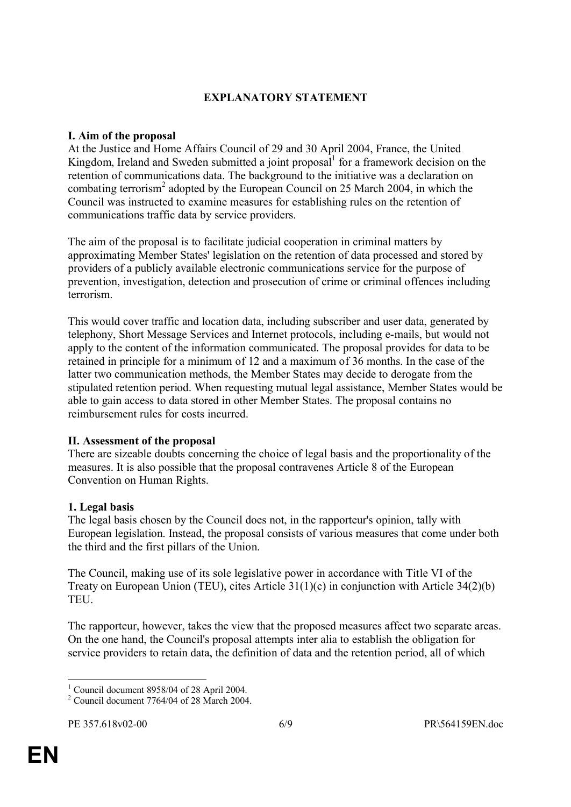## **EXPLANATORY STATEMENT**

## **I. Aim of the proposal**

At the Justice and Home Affairs Council of 29 and 30 April 2004, France, the United Kingdom, Ireland and Sweden submitted a joint proposal<sup>1</sup> for a framework decision on the retention of communications data. The background to the initiative was a declaration on combating terrorism<sup>2</sup> adopted by the European Council on 25 March 2004, in which the Council was instructed to examine measures for establishing rules on the retention of communications traffic data by service providers.

The aim of the proposal is to facilitate judicial cooperation in criminal matters by approximating Member States' legislation on the retention of data processed and stored by providers of a publicly available electronic communications service for the purpose of prevention, investigation, detection and prosecution of crime or criminal offences including terrorism.

This would cover traffic and location data, including subscriber and user data, generated by telephony, Short Message Services and Internet protocols, including e-mails, but would not apply to the content of the information communicated. The proposal provides for data to be retained in principle for a minimum of 12 and a maximum of 36 months. In the case of the latter two communication methods, the Member States may decide to derogate from the stipulated retention period. When requesting mutual legal assistance, Member States would be able to gain access to data stored in other Member States. The proposal contains no reimbursement rules for costs incurred.

### **II. Assessment of the proposal**

There are sizeable doubts concerning the choice of legal basis and the proportionality of the measures. It is also possible that the proposal contravenes Article 8 of the European Convention on Human Rights.

## **1. Legal basis**

The legal basis chosen by the Council does not, in the rapporteur's opinion, tally with European legislation. Instead, the proposal consists of various measures that come under both the third and the first pillars of the Union.

The Council, making use of its sole legislative power in accordance with Title VI of the Treaty on European Union (TEU), cites Article 31(1)(c) in conjunction with Article 34(2)(b) TEU.

The rapporteur, however, takes the view that the proposed measures affect two separate areas. On the one hand, the Council's proposal attempts inter alia to establish the obligation for service providers to retain data, the definition of data and the retention period, all of which

 $1$  Council document 8958/04 of 28 April 2004.

 $^{2}$  Council document 7764/04 of 28 March 2004.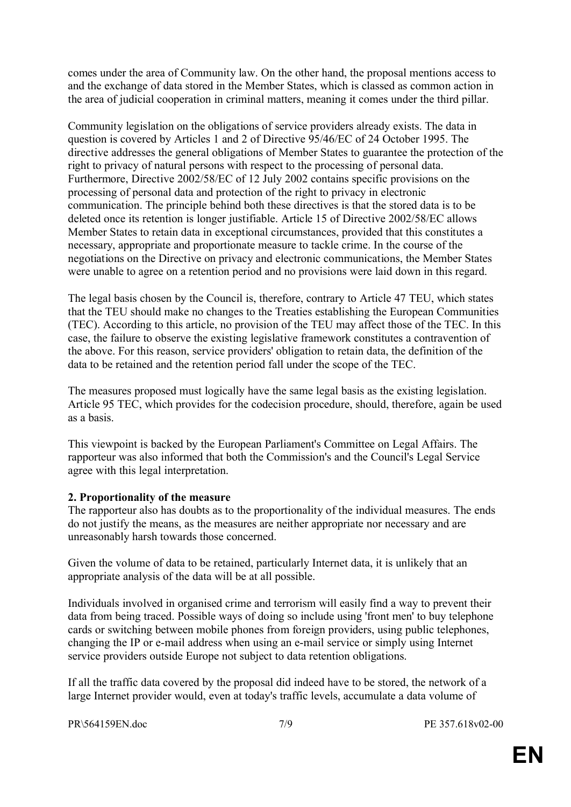comes under the area of Community law. On the other hand, the proposal mentions access to and the exchange of data stored in the Member States, which is classed as common action in the area of judicial cooperation in criminal matters, meaning it comes under the third pillar.

Community legislation on the obligations of service providers already exists. The data in question is covered by Articles 1 and 2 of Directive 95/46/EC of 24 October 1995. The directive addresses the general obligations of Member States to guarantee the protection of the right to privacy of natural persons with respect to the processing of personal data. Furthermore, Directive 2002/58/EC of 12 July 2002 contains specific provisions on the processing of personal data and protection of the right to privacy in electronic communication. The principle behind both these directives is that the stored data is to be deleted once its retention is longer justifiable. Article 15 of Directive 2002/58/EC allows Member States to retain data in exceptional circumstances, provided that this constitutes a necessary, appropriate and proportionate measure to tackle crime. In the course of the negotiations on the Directive on privacy and electronic communications, the Member States were unable to agree on a retention period and no provisions were laid down in this regard.

The legal basis chosen by the Council is, therefore, contrary to Article 47 TEU, which states that the TEU should make no changes to the Treaties establishing the European Communities (TEC). According to this article, no provision of the TEU may affect those of the TEC. In this case, the failure to observe the existing legislative framework constitutes a contravention of the above. For this reason, service providers' obligation to retain data, the definition of the data to be retained and the retention period fall under the scope of the TEC.

The measures proposed must logically have the same legal basis as the existing legislation. Article 95 TEC, which provides for the codecision procedure, should, therefore, again be used as a basis.

This viewpoint is backed by the European Parliament's Committee on Legal Affairs. The rapporteur was also informed that both the Commission's and the Council's Legal Service agree with this legal interpretation.

### **2. Proportionality of the measure**

The rapporteur also has doubts as to the proportionality of the individual measures. The ends do not justify the means, as the measures are neither appropriate nor necessary and are unreasonably harsh towards those concerned.

Given the volume of data to be retained, particularly Internet data, it is unlikely that an appropriate analysis of the data will be at all possible.

Individuals involved in organised crime and terrorism will easily find a way to prevent their data from being traced. Possible ways of doing so include using 'front men' to buy telephone cards or switching between mobile phones from foreign providers, using public telephones, changing the IP or e-mail address when using an e-mail service or simply using Internet service providers outside Europe not subject to data retention obligations.

If all the traffic data covered by the proposal did indeed have to be stored, the network of a large Internet provider would, even at today's traffic levels, accumulate a data volume of

PR\564159EN.doc 7/9 PE 357.618v02-00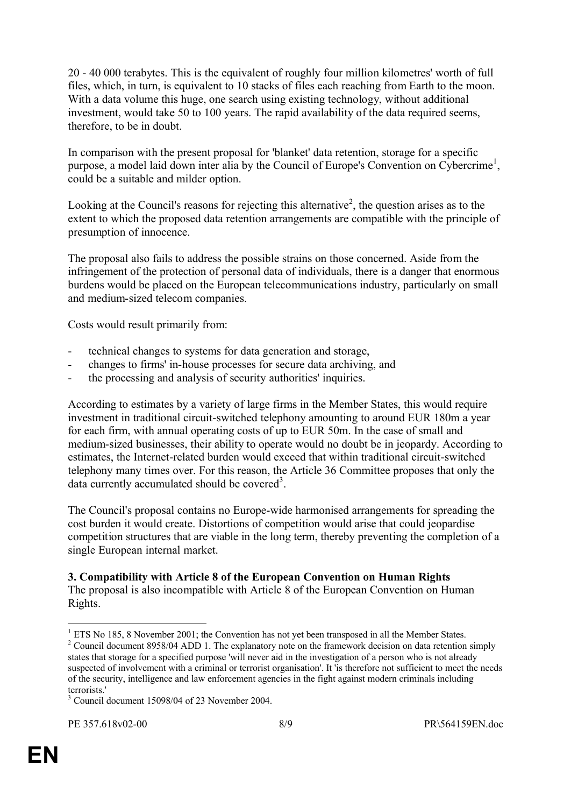20 - 40 000 terabytes. This is the equivalent of roughly four million kilometres' worth of full files, which, in turn, is equivalent to 10 stacks of files each reaching from Earth to the moon. With a data volume this huge, one search using existing technology, without additional investment, would take 50 to 100 years. The rapid availability of the data required seems, therefore, to be in doubt.

In comparison with the present proposal for 'blanket' data retention, storage for a specific purpose, a model laid down inter alia by the Council of Europe's Convention on Cybercrime<sup>1</sup>, could be a suitable and milder option.

Looking at the Council's reasons for rejecting this alternative<sup>2</sup>, the question arises as to the extent to which the proposed data retention arrangements are compatible with the principle of presumption of innocence.

The proposal also fails to address the possible strains on those concerned. Aside from the infringement of the protection of personal data of individuals, there is a danger that enormous burdens would be placed on the European telecommunications industry, particularly on small and medium-sized telecom companies.

Costs would result primarily from:

- technical changes to systems for data generation and storage,
- changes to firms' in-house processes for secure data archiving, and
- the processing and analysis of security authorities' inquiries.

According to estimates by a variety of large firms in the Member States, this would require investment in traditional circuit-switched telephony amounting to around EUR 180m a year for each firm, with annual operating costs of up to EUR 50m. In the case of small and medium-sized businesses, their ability to operate would no doubt be in jeopardy. According to estimates, the Internet-related burden would exceed that within traditional circuit-switched telephony many times over. For this reason, the Article 36 Committee proposes that only the data currently accumulated should be covered<sup>3</sup>.

The Council's proposal contains no Europe-wide harmonised arrangements for spreading the cost burden it would create. Distortions of competition would arise that could jeopardise competition structures that are viable in the long term, thereby preventing the completion of a single European internal market.

### **3. Compatibility with Article 8 of the European Convention on Human Rights**

The proposal is also incompatible with Article 8 of the European Convention on Human Rights.

<sup>&</sup>lt;sup>1</sup> ETS No 185, 8 November 2001; the Convention has not yet been transposed in all the Member States.

<sup>&</sup>lt;sup>2</sup> Council document 8958/04 ADD 1. The explanatory note on the framework decision on data retention simply states that storage for a specified purpose 'will never aid in the investigation of a person who is not already suspected of involvement with a criminal or terrorist organisation'. It 'is therefore not sufficient to meet the needs of the security, intelligence and law enforcement agencies in the fight against modern criminals including terrorists.'

<sup>&</sup>lt;sup>3</sup> Council document 15098/04 of 23 November 2004.